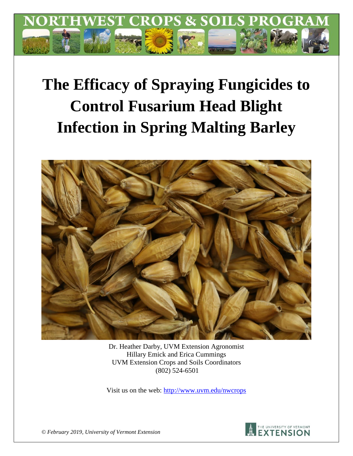

# **The Efficacy of Spraying Fungicides to Control Fusarium Head Blight Infection in Spring Malting Barley**



Dr. Heather Darby, UVM Extension Agronomist Hillary Emick and Erica Cummings UVM Extension Crops and Soils Coordinators (802) 524-6501

Visit us on the web:<http://www.uvm.edu/nwcrops>



*© February 2019, University of Vermont Extension*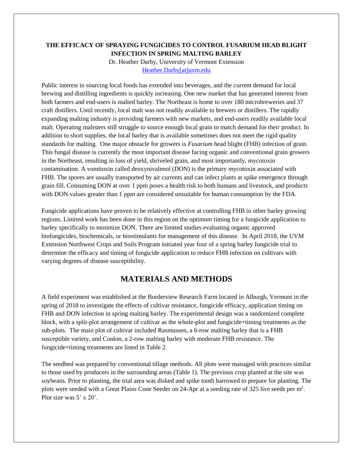### **THE EFFICACY OF SPRAYING FUNGICIDES TO CONTROL FUSARIUM HEAD BLIGHT INFECTION IN SPRING MALTING BARLEY**

Dr. Heather Darby, University of Vermont Extension [Heather.Darby\[at\]uvm.edu](mailto:Heather.Darby@uvm.edu)

Public interest in sourcing local foods has extended into beverages, and the current demand for local brewing and distilling ingredients is quickly increasing. One new market that has generated interest from both farmers and end-users is malted barley. The Northeast is home to over 180 microbreweries and 37 craft distillers. Until recently, local malt was not readily available to brewers or distillers. The rapidly expanding malting industry is providing farmers with new markets, and end-users readily available local malt. Operating maltsters still struggle to source enough local grain to match demand for their product. In addition to short supplies, the local barley that is available sometimes does not meet the rigid quality standards for malting. One major obstacle for growers is *Fusarium* head blight (FHB) infection of grain. This fungal disease is currently the most important disease facing organic and conventional grain growers in the Northeast, resulting in loss of yield, shriveled grain, and most importantly, mycotoxin contamination. A vomitoxin called deoxynivalenol (DON) is the primary mycotoxin associated with FHB. The spores are usually transported by air currents and can infect plants at spike emergence through grain fill. Consuming DON at over 1 ppm poses a health risk to both humans and livestock, and products with DON values greater than 1 ppm are considered unsuitable for human consumption by the FDA.

Fungicide applications have proven to be relatively effective at controlling FHB in other barley growing regions. Limited work has been done in this region on the optimum timing for a fungicide application to barley specifically to minimize DON. There are limited studies evaluating organic approved biofungicides, biochemicals, or biostimulants for management of this disease. In April 2018, the UVM Extension Northwest Crops and Soils Program initiated year four of a spring barley fungicide trial to determine the efficacy and timing of fungicide application to reduce FHB infection on cultivars with varying degrees of disease susceptibility.

## **MATERIALS AND METHODS**

A field experiment was established at the Borderview Research Farm located in Alburgh, Vermont in the spring of 2018 to investigate the effects of cultivar resistance, fungicide efficacy, application timing on FHB and DON infection in spring malting barley. The experimental design was a randomized complete block, with a split-plot arrangement of cultivar as the whole-plot and fungicide+timing treatments as the sub-plots. The main plot of cultivar included Rasmussen, a 6-row malting barley that is a FHB susceptible variety, and Conlon, a 2-row malting barley with moderate FHB resistance. The fungicide+timing treatments are listed in Table 2.

The seedbed was prepared by conventional tillage methods. All plots were managed with practices similar to those used by producers in the surrounding areas (Table 1). The previous crop planted at the site was soybeans. Prior to planting, the trial area was disked and spike tooth harrowed to prepare for planting. The plots were seeded with a Great Plains Cone Seeder on 24-Apr at a seeding rate of 325 live seeds per m<sup>2</sup>. Plot size was 5' x 20'.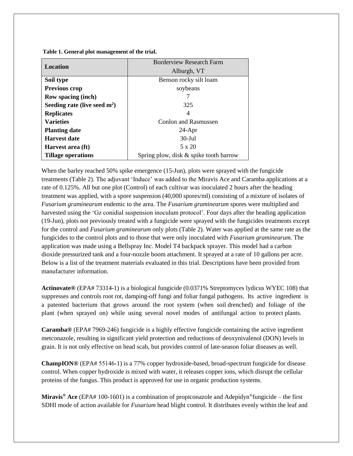**Table 1. General plot management of the trial.**

|                                | <b>Borderview Research Farm</b>        |  |  |
|--------------------------------|----------------------------------------|--|--|
| <b>Location</b>                | Alburgh, VT                            |  |  |
| Soil type                      | Benson rocky silt loam                 |  |  |
| Previous crop                  | soybeans                               |  |  |
| <b>Row spacing (inch)</b>      |                                        |  |  |
| Seeding rate (live seed $m2$ ) | 325                                    |  |  |
| <b>Replicates</b>              | 4                                      |  |  |
| <b>Varieties</b>               | <b>Conlon and Rasmussen</b>            |  |  |
| <b>Planting date</b>           | $24-Apr$                               |  |  |
| <b>Harvest date</b>            | $30$ -Jul                              |  |  |
| Harvest area (ft)              | 5 x 20                                 |  |  |
| Tillage operations             | Spring plow, disk & spike tooth harrow |  |  |

When the barley reached 50% spike emergence (15-Jun), plots were sprayed with the fungicide treatments (Table 2). The adjuvant 'Induce' was added to the Miravis Ace and Caramba applications at a rate of 0.125%. All but one plot (Control) of each cultivar was inoculated 2 hours after the heading treatment was applied, with a spore suspension (40,000 spores/ml) consisting of a mixture of isolates of *Fusarium graminearum* endemic to the area. The *Fusarium graminearum* spores were multiplied and harvested using the 'Gz conidial suspension inoculum protocol'. Four days after the heading application (19-Jun), plots not previously treated with a fungicide were sprayed with the fungicides treatments except for the control and *Fusarium graminearum* only plots (Table 2). Water was applied at the same rate as the fungicides to the control plots and to those that were only inoculated with *Fusarium graminearum.* The application was made using a Bellspray Inc. Model T4 backpack sprayer. This model had a carbon dioxide pressurized tank and a four-nozzle boom attachment. It sprayed at a rate of 10 gallons per acre. Below is a list of the treatment materials evaluated in this trial. Descriptions have been provided from manufacturer information.

**Actinovate®** (EPA# 73314-1) is a biological fungicide (0.0371% Streptomyces lydicus WYEC 108) that suppresses and controls root rot, damping-off fungi and foliar fungal pathogens. Its active ingredient is a patented bacterium that grows around the root system (when soil drenched) and foliage of the plant (when sprayed on) while using several novel modes of antifungal action to protect plants.

**Caramba®** (EPA# 7969-246) fungicide is a highly effective fungicide containing the active ingredient metconazole, resulting in significant yield protection and reductions of deoxynivalenol (DON) levels in grain. It is not only effective on head scab, but provides control of late-season foliar diseases as well.

**ChampION®** (EPA# 55146‐1) is a 77% copper hydroxide-based, broad-spectrum fungicide for disease control. When copper hydroxide is mixed with water, it releases copper ions, which disrupt the cellular proteins of the fungus. This product is approved for use in organic production systems.

**Miravis® Ace** (EPA# 100-1601) is a combination of propiconazole and Adepidyn®fungicide – the first SDHI mode of action available for *Fusarium* head blight control. It distributes evenly within the leaf and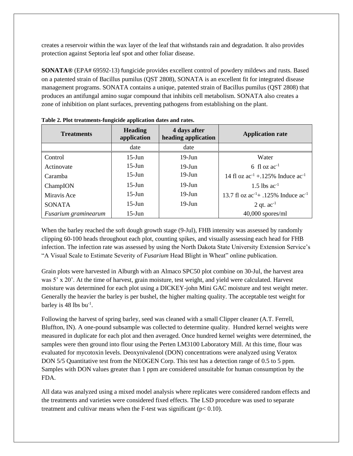creates a reservoir within the wax layer of the leaf that withstands rain and degradation. It also provides protection against Septoria leaf spot and other foliar disease.

**SONATA®** (EPA# 69592-13) fungicide provides excellent control of powdery mildews and rusts. Based on a patented strain of Bacillus pumilus (QST 2808), SONATA is an excellent fit for integrated disease management programs. SONATA contains a unique, patented strain of Bacillus pumilus (QST 2808) that produces an antifungal amino sugar compound that inhibits cell metabolism. SONATA also creates a zone of inhibition on plant surfaces, preventing pathogens from establishing on the plant.

| <b>Treatments</b>    | <b>Heading</b><br>application | 4 days after<br>heading application | <b>Application rate</b>                       |
|----------------------|-------------------------------|-------------------------------------|-----------------------------------------------|
|                      | date                          | date                                |                                               |
| Control              | $15$ -Jun                     | $19-J$ un                           | Water                                         |
| Actinovate           | $15$ -Jun                     | $19$ -Jun                           | 6 fl oz $ac^{-1}$                             |
| Caramba              | $15$ -Jun                     | $19$ -Jun                           | 14 fl oz $ac^{-1}$ + 125% Induce $ac^{-1}$    |
| ChampION             | $15$ -Jun                     | $19$ -Jun                           | 1.5 lbs $ac^{-1}$                             |
| Miravis Ace          | $15$ -Jun                     | $19$ -Jun                           | 13.7 fl oz $ac^{-1}$ + .125% Induce $ac^{-1}$ |
| <b>SONATA</b>        | $15$ -Jun                     | $19-J$ un                           | 2 qt. $ac^{-1}$                               |
| Fusarium graminearum | $15$ -Jun                     |                                     | $40,000$ spores/ml                            |

**Table 2. Plot treatments-fungicide application dates and rates.**

When the barley reached the soft dough growth stage (9-Jul), FHB intensity was assessed by randomly clipping 60-100 heads throughout each plot, counting spikes, and visually assessing each head for FHB infection. The infection rate was assessed by using the North Dakota State University Extension Service's "A Visual Scale to Estimate Severity of *Fusarium* Head Blight in Wheat" online publication.

Grain plots were harvested in Alburgh with an Almaco SPC50 plot combine on 30-Jul, the harvest area was 5' x 20'. At the time of harvest, grain moisture, test weight, and yield were calculated. Harvest moisture was determined for each plot using a DICKEY-john Mini GAC moisture and test weight meter. Generally the heavier the barley is per bushel, the higher malting quality. The acceptable test weight for barley is 48 lbs bu<sup>-1</sup>.

Following the harvest of spring barley, seed was cleaned with a small Clipper cleaner (A.T. Ferrell, Bluffton, IN). A one-pound subsample was collected to determine quality. Hundred kernel weights were measured in duplicate for each plot and then averaged. Once hundred kernel weights were determined, the samples were then ground into flour using the Perten LM3100 Laboratory Mill. At this time, flour was evaluated for mycotoxin levels. Deoxynivalenol (DON) concentrations were analyzed using Veratox DON 5/5 Quantitative test from the NEOGEN Corp. This test has a detection range of 0.5 to 5 ppm. Samples with DON values greater than 1 ppm are considered unsuitable for human consumption by the FDA.

All data was analyzed using a mixed model analysis where replicates were considered random effects and the treatments and varieties were considered fixed effects. The LSD procedure was used to separate treatment and cultivar means when the F-test was significant ( $p < 0.10$ ).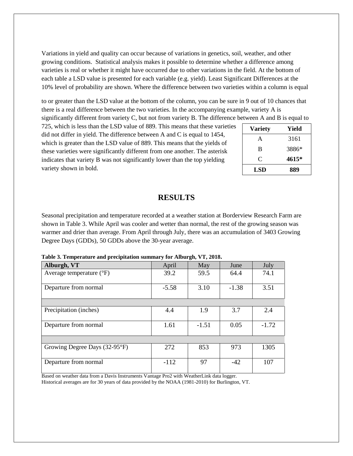Variations in yield and quality can occur because of variations in genetics, soil, weather, and other growing conditions. Statistical analysis makes it possible to determine whether a difference among varieties is real or whether it might have occurred due to other variations in the field. At the bottom of each table a LSD value is presented for each variable (e.g. yield). Least Significant Differences at the 10% level of probability are shown. Where the difference between two varieties within a column is equal

to or greater than the LSD value at the bottom of the column, you can be sure in 9 out of 10 chances that there is a real difference between the two varieties. In the accompanying example, variety A is

significantly different from variety C, but not from variety B. The difference between A and B is equal to

725, which is less than the LSD value of 889. This means that these varieties did not differ in yield. The difference between A and C is equal to 1454, which is greater than the LSD value of 889. This means that the yields of these varieties were significantly different from one another. The asterisk indicates that variety B was not significantly lower than the top yielding variety shown in bold.

| <b>Variety</b> | Yield |
|----------------|-------|
| A              | 3161  |
| B              | 3886* |
| C              | 4615* |
| <b>LSD</b>     | 889   |

## **RESULTS**

Seasonal precipitation and temperature recorded at a weather station at Borderview Research Farm are shown in Table 3. While April was cooler and wetter than normal, the rest of the growing season was warmer and drier than average. From April through July, there was an accumulation of 3403 Growing Degree Days (GDDs), 50 GDDs above the 30-year average.

**Table 3. Temperature and precipitation summary for Alburgh, VT, 2018.**

| Alburgh, VT                       | April   | May     | June    | July    |
|-----------------------------------|---------|---------|---------|---------|
| Average temperature $(^{\circ}F)$ | 39.2    | 59.5    | 64.4    | 74.1    |
| Departure from normal             | $-5.58$ | 3.10    | $-1.38$ | 3.51    |
|                                   |         |         |         |         |
| Precipitation (inches)            | 4.4     | 1.9     | 3.7     | 2.4     |
| Departure from normal             | 1.61    | $-1.51$ | 0.05    | $-1.72$ |
|                                   |         |         |         |         |
| Growing Degree Days (32-95°F)     | 272     | 853     | 973     | 1305    |
| Departure from normal             | $-112$  | 97      | $-42$   | 107     |

Based on weather data from a Davis Instruments Vantage Pro2 with WeatherLink data logger. Historical averages are for 30 years of data provided by the NOAA (1981-2010) for Burlington, VT.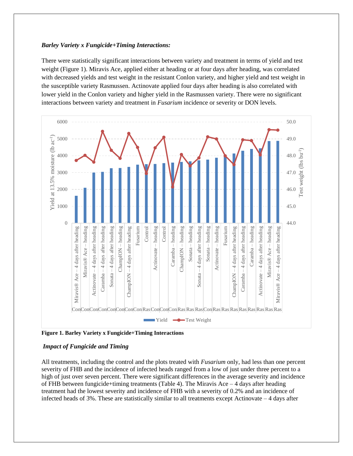#### *Barley Variety x Fungicide+Timing Interactions:*

There were statistically significant interactions between variety and treatment in terms of yield and test weight (Figure 1). Miravis Ace, applied either at heading or at four days after heading, was correlated with decreased yields and test weight in the resistant Conlon variety, and higher yield and test weight in the susceptible variety Rasmussen. Actinovate applied four days after heading is also correlated with lower yield in the Conlon variety and higher yield in the Rasmussen variety. There were no significant interactions between variety and treatment in *Fusarium* incidence or severity or DON levels.



**Figure 1. Barley Variety x Fungicide+Timing Interactions**

#### *Impact of Fungicide and Timing*

All treatments, including the control and the plots treated with *Fusarium* only, had less than one percent severity of FHB and the incidence of infected heads ranged from a low of just under three percent to a high of just over seven percent. There were significant differences in the average severity and incidence of FHB between fungicide+timing treatments (Table 4). The Miravis Ace – 4 days after heading treatment had the lowest severity and incidence of FHB with a severity of 0.2% and an incidence of infected heads of  $3\%$ . These are statistically similar to all treatments except Actinovate  $-4$  days after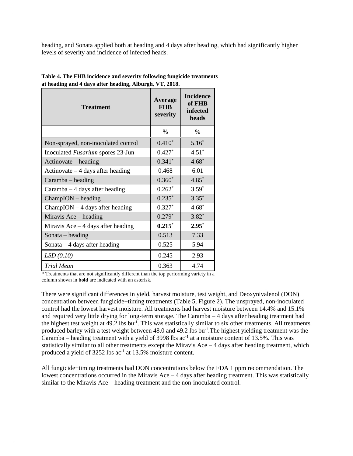heading, and Sonata applied both at heading and 4 days after heading, which had significantly higher levels of severity and incidence of infected heads.

| <b>Treatment</b>                    | Average<br><b>FHR</b><br>severity | <b>Incidence</b><br>of FHB<br>infected<br>heads |  |
|-------------------------------------|-----------------------------------|-------------------------------------------------|--|
|                                     | $\%$                              | $\%$                                            |  |
| Non-sprayed, non-inoculated control | $0.410*$                          | $5.16*$                                         |  |
| Inoculated Fusarium spores 23-Jun   | $0.427*$                          | $4.51*$                                         |  |
| Actinovate – heading                | $0.341*$                          | $4.68*$                                         |  |
| Actinovate $-4$ days after heading  | 0.468                             | 6.01                                            |  |
| Caramba – heading                   | $0.360*$                          | $4.85*$                                         |  |
| $Caramba - 4 \, days$ after heading | $0.262*$                          | $3.59*$                                         |  |
| $ChampION - heading$                | $0.235*$                          | $3.35*$                                         |  |
| $ChampION - 4$ days after heading   | $0.327*$                          | $4.68*$                                         |  |
| Miravis Ace – heading               | $0.279*$                          | $3.82*$                                         |  |
| Miravis Ace $-4$ days after heading | $0.215*$                          | $2.95*$                                         |  |
| Sonata – heading                    | 0.513                             | 7.33                                            |  |
| Sonata $-4$ days after heading      | 0.525                             | 5.94                                            |  |
| LSD(0.10)                           | 0.245                             | 2.93                                            |  |
| <b>Trial Mean</b>                   | 0.363                             | 4.74                                            |  |

**Table 4. The FHB incidence and severity following fungicide treatments at heading and 4 days after heading, Alburgh, VT, 2018.**

\* Treatments that are not significantly different than the top performing variety in a column shown in **bold** are indicated with an asterisk**.**

There were significant differences in yield, harvest moisture, test weight, and Deoxynivalenol (DON) concentration between fungicide+timing treatments (Table 5, Figure 2). The unsprayed, non-inoculated control had the lowest harvest moisture. All treatments had harvest moisture between 14.4% and 15.1% and required very little drying for long-term storage. The Caramba – 4 days after heading treatment had the highest test weight at 49.2 lbs bu<sup>-1</sup>. This was statistically similar to six other treatments. All treatments produced barley with a test weight between 48.0 and 49.2 lbs bu<sup>-1</sup>. The highest yielding treatment was the Caramba – heading treatment with a yield of 3998 lbs  $ac^{-1}$  at a moisture content of 13.5%. This was statistically similar to all other treatments except the Miravis Ace  $-4$  days after heading treatment, which produced a yield of 3252 lbs ac<sup>-1</sup> at 13.5% moisture content.

All fungicide+timing treatments had DON concentrations below the FDA 1 ppm recommendation. The lowest concentrations occurred in the Miravis Ace – 4 days after heading treatment. This was statistically similar to the Miravis Ace – heading treatment and the non-inoculated control.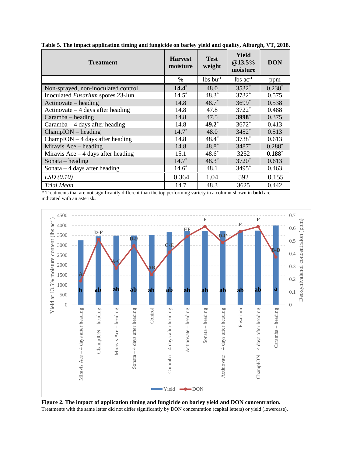| <b>Treatment</b>                    | <b>Harvest</b><br>moisture | <b>Test</b><br>weight  | Yield<br>@13.5%<br>moisture | <b>DON</b> |
|-------------------------------------|----------------------------|------------------------|-----------------------------|------------|
|                                     | %                          | $lbs$ bu <sup>-1</sup> | $lbs$ ac <sup>-1</sup>      | ppm        |
| Non-sprayed, non-inoculated control | $14.4*$                    | 48.0                   | $3532*$                     | $0.238*$   |
| Inoculated Fusarium spores 23-Jun   | $14.5*$                    | $48.3*$                | 3732*                       | 0.575      |
| $Actionovate - heading$             | 14.8                       | $48.7^*$               | $3699*$                     | 0.538      |
| Actinovate $-4$ days after heading  | 14.8                       | 47.8                   | $3722*$                     | 0.488      |
| $Caramba - heading$                 | 14.8                       | 47.5                   | 3998*                       | 0.375      |
| Caramba $-4$ days after heading     | 14.8                       | $49.2^*$               | $3672*$                     | 0.413      |
| $ChampION - heading$                | $14.7*$                    | 48.0                   | $3452*$                     | 0.513      |
| $ChampION - 4$ days after heading   | 14.8                       | $48.4*$                | 3738*                       | 0.613      |
| Miravis Ace – heading               | 14.8                       | $48.8*$                | 3487*                       | $0.288*$   |
| Miravis Ace $-4$ days after heading | 15.1                       | $48.6*$                | 3252                        | $0.188*$   |
| Sonata $-$ heading                  | $14.7*$                    | $48.3*$                | $3720*$                     | 0.613      |
| Sonata $-4$ days after heading      | $14.6*$                    | 48.1                   | $3495*$                     | 0.463      |
| LSD(0.10)                           | 0.364                      | 1.04                   | 592                         | 0.155      |
| <b>Trial Mean</b><br>$\sim$ $\sim$  | 14.7                       | 48.3                   | 3625<br>.                   | 0.442      |

**Table 5. The impact application timing and fungicide on barley yield and quality, Alburgh, VT, 2018.**

\* Treatments that are not significantly different than the top performing variety in a column shown in **bold** are indicated with an asterisk**.**



**Figure 2. The impact of application timing and fungicide on barley yield and DON concentration.** Treatments with the same letter did not differ significantly by DON concentration (capital letters) or yield (lowercase).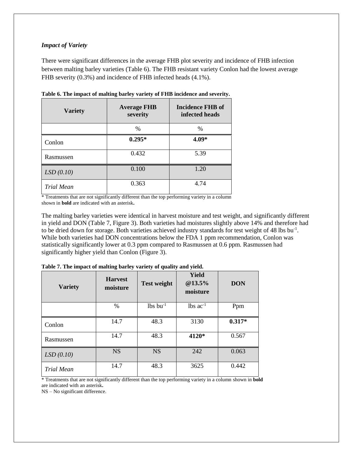#### *Impact of Variety*

There were significant differences in the average FHB plot severity and incidence of FHB infection between malting barley varieties (Table 6). The FHB resistant variety Conlon had the lowest average FHB severity (0.3%) and incidence of FHB infected heads (4.1%).

| <b>Variety</b> | <b>Average FHB</b><br>severity | <b>Incidence FHB of</b><br>infected heads |
|----------------|--------------------------------|-------------------------------------------|
|                | $\%$                           | $\frac{0}{0}$                             |
| Conlon         | $0.295*$                       | 4.09*                                     |
| Rasmussen      | 0.432                          | 5.39                                      |
| LSD(0.10)      | 0.100                          | 1.20                                      |
| Trial Mean     | 0.363                          | 4.74                                      |

**Table 6. The impact of malting barley variety of FHB incidence and severity.**

\* Treatments that are not significantly different than the top performing variety in a column shown in **bold** are indicated with an asterisk**.**

The malting barley varieties were identical in harvest moisture and test weight, and significantly different in yield and DON (Table 7, Figure 3). Both varieties had moistures slightly above 14% and therefore had to be dried down for storage. Both varieties achieved industry standards for test weight of 48 lbs bu<sup>-1</sup>. While both varieties had DON concentrations below the FDA 1 ppm recommendation, Conlon was statistically significantly lower at 0.3 ppm compared to Rasmussen at 0.6 ppm. Rasmussen had significantly higher yield than Conlon (Figure 3).

| <b>Variety</b>    | <b>Harvest</b><br>moisture | <b>Test weight</b>     | Yield<br>@13.5%<br>moisture | <b>DON</b> |
|-------------------|----------------------------|------------------------|-----------------------------|------------|
|                   | $\frac{0}{0}$              | $lbs$ bu <sup>-1</sup> | $lbs$ ac <sup>-1</sup>      | Ppm        |
| Conlon            | 14.7                       | 48.3                   | 3130                        | $0.317*$   |
| Rasmussen         | 14.7                       | 48.3                   | 4120*                       | 0.567      |
| LSD(0.10)         | <b>NS</b>                  | <b>NS</b>              | 242                         | 0.063      |
| <b>Trial Mean</b> | 14.7                       | 48.3                   | 3625                        | 0.442      |

**Table 7. The impact of malting barley variety of quality and yield.**

\* Treatments that are not significantly different than the top performing variety in a column shown in **bold** are indicated with an asterisk**.**

NS – No significant difference.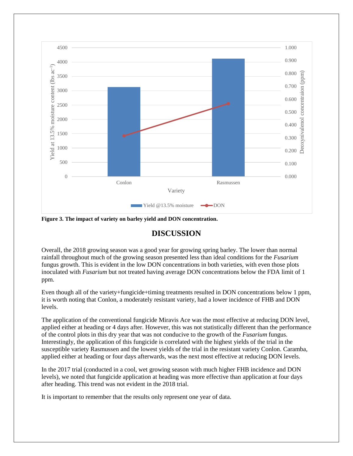

**Figure 3. The impact of variety on barley yield and DON concentration.**

## **DISCUSSION**

Overall, the 2018 growing season was a good year for growing spring barley. The lower than normal rainfall throughout much of the growing season presented less than ideal conditions for the *Fusarium* fungus growth. This is evident in the low DON concentrations in both varieties, with even those plots inoculated with *Fusarium* but not treated having average DON concentrations below the FDA limit of 1 ppm.

Even though all of the variety+fungicide+timing treatments resulted in DON concentrations below 1 ppm, it is worth noting that Conlon, a moderately resistant variety, had a lower incidence of FHB and DON levels.

The application of the conventional fungicide Miravis Ace was the most effective at reducing DON level, applied either at heading or 4 days after. However, this was not statistically different than the performance of the control plots in this dry year that was not conducive to the growth of the *Fusarium* fungus. Interestingly, the application of this fungicide is correlated with the highest yields of the trial in the susceptible variety Rasmussen and the lowest yields of the trial in the resistant variety Conlon. Caramba, applied either at heading or four days afterwards, was the next most effective at reducing DON levels.

In the 2017 trial (conducted in a cool, wet growing season with much higher FHB incidence and DON levels), we noted that fungicide application at heading was more effective than application at four days after heading. This trend was not evident in the 2018 trial.

It is important to remember that the results only represent one year of data.